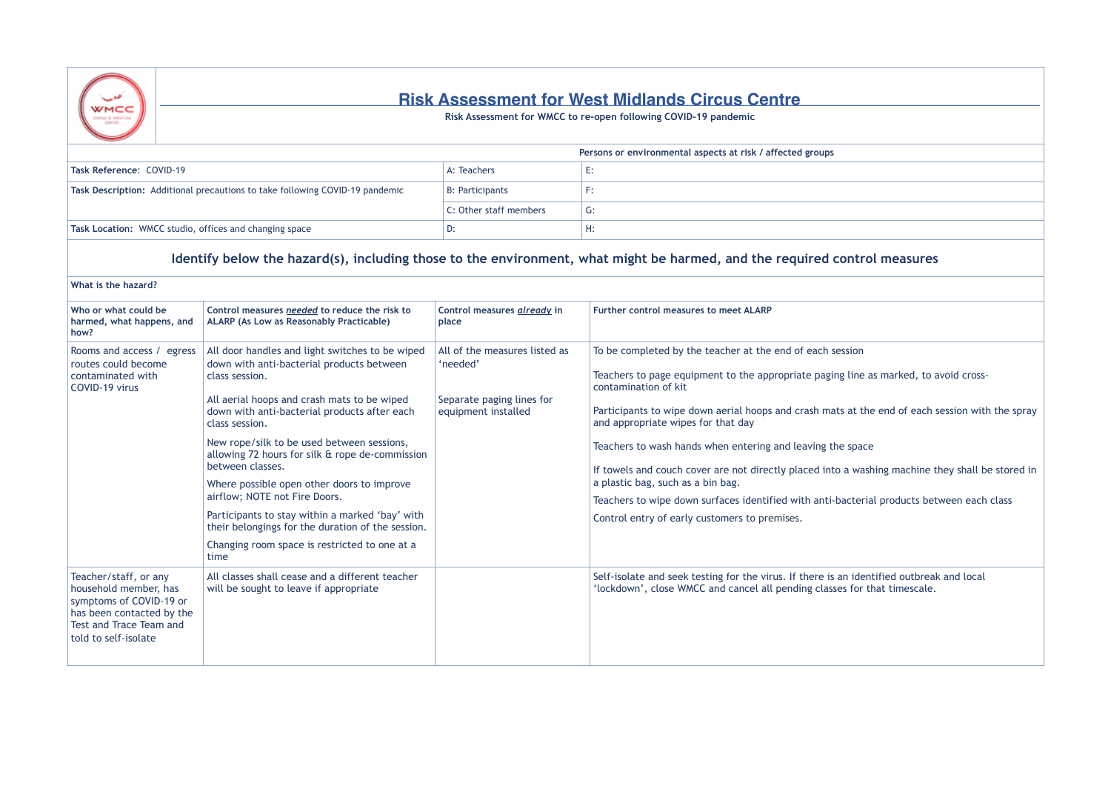

## **Risk Assessment for West Midlands Circus Centre**

**Risk Assessment for WMCC to re-open following COVID-19 pandemic**

|                                                                              |                        | Persons or environmental aspects at risk / affected groups |
|------------------------------------------------------------------------------|------------------------|------------------------------------------------------------|
| Task Reference: COVID-19                                                     | A: Teachers            | ، –                                                        |
| Task Description: Additional precautions to take following COVID-19 pandemic | <b>B: Participants</b> |                                                            |
|                                                                              | C: Other staff members | G:                                                         |
| Task Location: WMCC studio, offices and changing space                       | D:                     | н:                                                         |

## **Identify below the hazard(s), including those to the environment, what might be harmed, and the required control measures**

| What is the hazard?                                                                                                                                       |                                                                                                                                                                                                                                                                                                                                                                                                                                                                                                                                                                                                      |                                                                                               |                                                                                                                                                                                                                                                                                                                                                                                                                                                                                                     |
|-----------------------------------------------------------------------------------------------------------------------------------------------------------|------------------------------------------------------------------------------------------------------------------------------------------------------------------------------------------------------------------------------------------------------------------------------------------------------------------------------------------------------------------------------------------------------------------------------------------------------------------------------------------------------------------------------------------------------------------------------------------------------|-----------------------------------------------------------------------------------------------|-----------------------------------------------------------------------------------------------------------------------------------------------------------------------------------------------------------------------------------------------------------------------------------------------------------------------------------------------------------------------------------------------------------------------------------------------------------------------------------------------------|
| Who or what could be<br>harmed, what happens, and<br>how?                                                                                                 | Control measures needed to reduce the risk to<br><b>ALARP (As Low as Reasonably Practicable)</b>                                                                                                                                                                                                                                                                                                                                                                                                                                                                                                     | Control measures already in<br>place                                                          | Further control measures to meet ALARP                                                                                                                                                                                                                                                                                                                                                                                                                                                              |
| Rooms and access / egress<br>routes could become<br>contaminated with<br>COVID-19 virus                                                                   | All door handles and light switches to be wiped<br>down with anti-bacterial products between<br>class session.<br>All aerial hoops and crash mats to be wiped<br>down with anti-bacterial products after each<br>class session.<br>New rope/silk to be used between sessions,<br>allowing 72 hours for silk & rope de-commission<br>between classes.<br>Where possible open other doors to improve<br>airflow; NOTE not Fire Doors.<br>Participants to stay within a marked 'bay' with<br>their belongings for the duration of the session.<br>Changing room space is restricted to one at a<br>time | All of the measures listed as<br>'needed'<br>Separate paging lines for<br>equipment installed | To be completed by the teacher at the end of each se<br>Teachers to page equipment to the appropriate paging<br>contamination of kit<br>Participants to wipe down aerial hoops and crash mat<br>and appropriate wipes for that day<br>Teachers to wash hands when entering and leaving the<br>If towels and couch cover are not directly placed into<br>a plastic bag, such as a bin bag.<br>Teachers to wipe down surfaces identified with anti-b<br>Control entry of early customers to premises. |
| Teacher/staff, or any<br>household member, has<br>symptoms of COVID-19 or<br>has been contacted by the<br>Test and Trace Team and<br>told to self-isolate | All classes shall cease and a different teacher<br>will be sought to leave if appropriate                                                                                                                                                                                                                                                                                                                                                                                                                                                                                                            |                                                                                               | Self-isolate and seek testing for the virus. If there is a<br>'lockdown', close WMCC and cancel all pending classe                                                                                                                                                                                                                                                                                                                                                                                  |

## ession

Ineas marked, to avoid cross-

ts at the end of each session with the spray

## e space

If a washing machine they shall be stored in

Dacterial products between each class

an identified outbreak and local es for that timescale.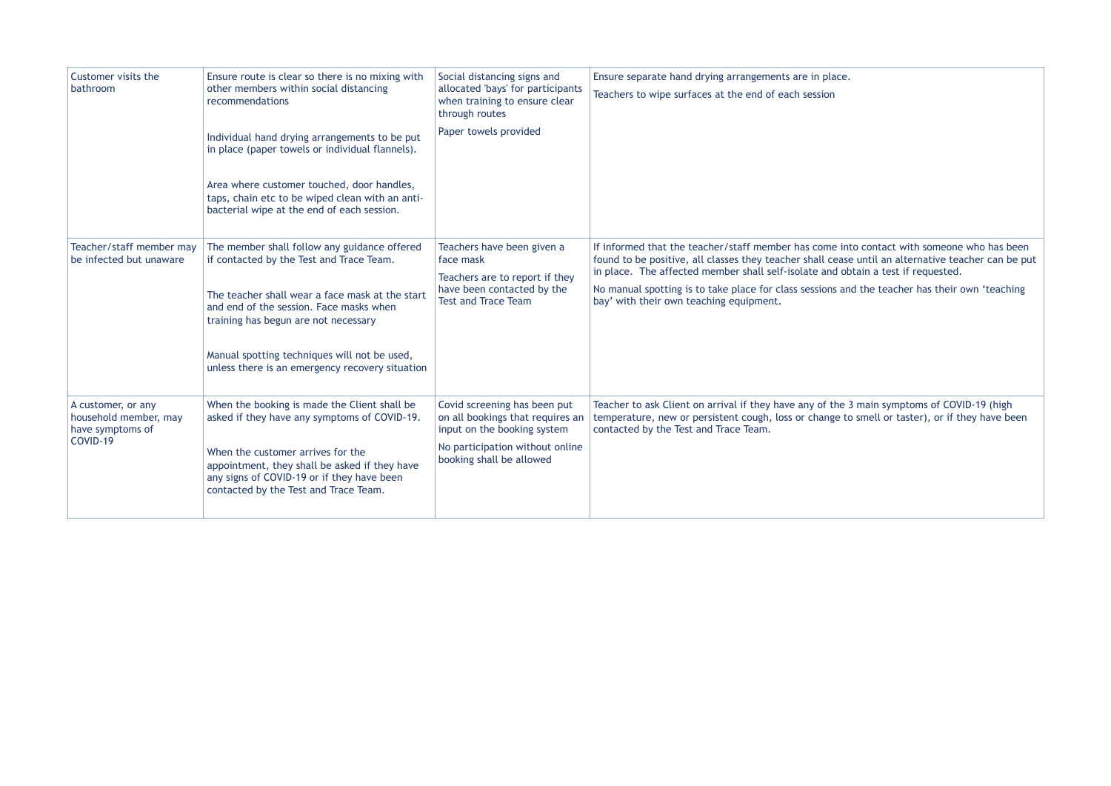| Customer visits the<br>bathroom                                             | Ensure route is clear so there is no mixing with<br>other members within social distancing<br>recommendations                                                             | Social distancing signs and<br>allocated 'bays' for participants<br>when training to ensure clear<br>through routes | Ensure separate hand drying arrangements are in place.<br>Teachers to wipe surfaces at the end of each session                                                                                                                                                                      |  |
|-----------------------------------------------------------------------------|---------------------------------------------------------------------------------------------------------------------------------------------------------------------------|---------------------------------------------------------------------------------------------------------------------|-------------------------------------------------------------------------------------------------------------------------------------------------------------------------------------------------------------------------------------------------------------------------------------|--|
|                                                                             | Individual hand drying arrangements to be put<br>in place (paper towels or individual flannels).                                                                          | Paper towels provided                                                                                               |                                                                                                                                                                                                                                                                                     |  |
|                                                                             | Area where customer touched, door handles,<br>taps, chain etc to be wiped clean with an anti-<br>bacterial wipe at the end of each session.                               |                                                                                                                     |                                                                                                                                                                                                                                                                                     |  |
| Teacher/staff member may<br>be infected but unaware                         | The member shall follow any guidance offered<br>if contacted by the Test and Trace Team.                                                                                  | Teachers have been given a<br>face mask<br>Teachers are to report if they                                           | If informed that the teacher/staff member has come into contact with someone who has been<br>found to be positive, all classes they teacher shall cease until an alternative teacher can be put<br>in place. The affected member shall self-isolate and obtain a test if requested. |  |
|                                                                             | The teacher shall wear a face mask at the start<br>and end of the session. Face masks when<br>training has begun are not necessary                                        | have been contacted by the<br><b>Test and Trace Team</b>                                                            | No manual spotting is to take place for class sessions and the teacher has their own 'teaching<br>bay' with their own teaching equipment.                                                                                                                                           |  |
|                                                                             | Manual spotting techniques will not be used,<br>unless there is an emergency recovery situation                                                                           |                                                                                                                     |                                                                                                                                                                                                                                                                                     |  |
| A customer, or any<br>household member, may<br>have symptoms of<br>COVID-19 | When the booking is made the Client shall be<br>asked if they have any symptoms of COVID-19.                                                                              | Covid screening has been put<br>on all bookings that requires an<br>input on the booking system                     | Teacher to ask Client on arrival if they have any of the 3 main symptoms of COVID-19 (high<br>temperature, new or persistent cough, loss or change to smell or taster), or if they have been<br>contacted by the Test and Trace Team.                                               |  |
|                                                                             | When the customer arrives for the<br>appointment, they shall be asked if they have<br>any signs of COVID-19 or if they have been<br>contacted by the Test and Trace Team. | No participation without online<br>booking shall be allowed                                                         |                                                                                                                                                                                                                                                                                     |  |